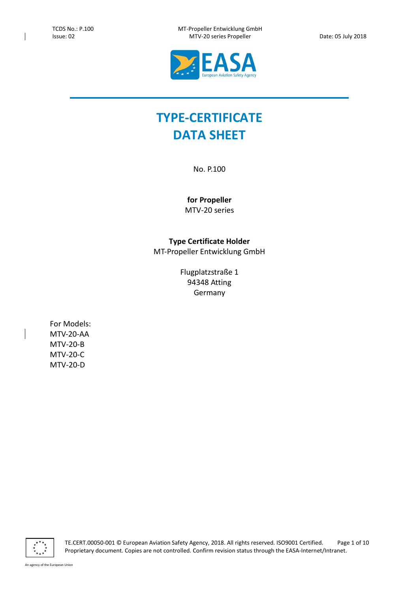

# **TYPE-CERTIFICATE DATA SHEET**

No. P.100

**for Propeller** MTV-20 series

# **Type Certificate Holder** MT-Propeller Entwicklung GmbH

Flugplatzstraße 1 94348 Atting Germany

For Models: MTV-20-AA MTV-20-B MTV-20-C MTV-20-D



TE.CERT.00050-001 © European Aviation Safety Agency, 2018. All rights reserved. ISO9001 Certified. Page 1 of 10 Proprietary document. Copies are not controlled. Confirm revision status through the EASA-Internet/Intranet.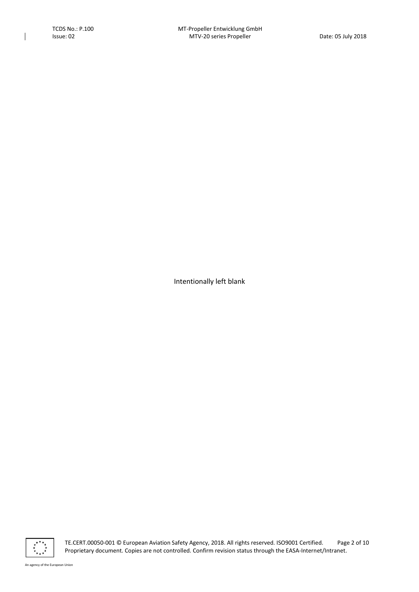Intentionally left blank



TE.CERT.00050-001 © European Aviation Safety Agency, 2018. All rights reserved. ISO9001 Certified. Page 2 of 10 Proprietary document. Copies are not controlled. Confirm revision status through the EASA-Internet/Intranet.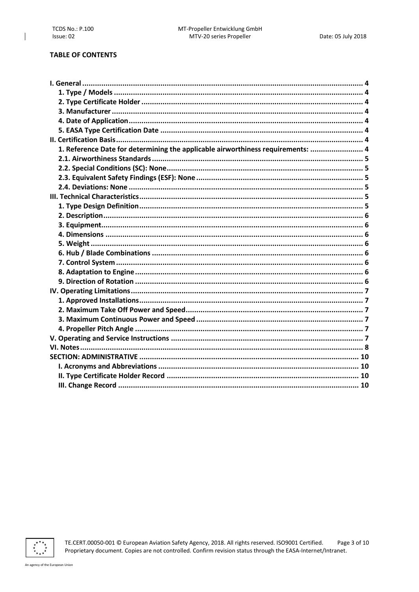### **TABLE OF CONTENTS**

| 1. Reference Date for determining the applicable airworthiness requirements:  4 |  |
|---------------------------------------------------------------------------------|--|
|                                                                                 |  |
|                                                                                 |  |
|                                                                                 |  |
|                                                                                 |  |
|                                                                                 |  |
|                                                                                 |  |
|                                                                                 |  |
|                                                                                 |  |
|                                                                                 |  |
|                                                                                 |  |
|                                                                                 |  |
|                                                                                 |  |
|                                                                                 |  |
|                                                                                 |  |
|                                                                                 |  |
|                                                                                 |  |
|                                                                                 |  |
|                                                                                 |  |
|                                                                                 |  |
|                                                                                 |  |
|                                                                                 |  |
|                                                                                 |  |
|                                                                                 |  |
|                                                                                 |  |
|                                                                                 |  |
|                                                                                 |  |

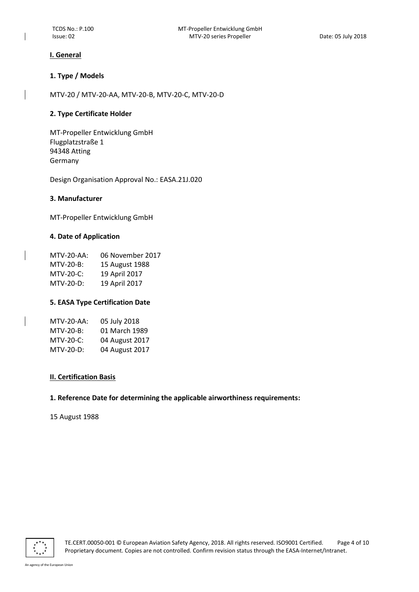#### <span id="page-3-0"></span>**I. General**

# <span id="page-3-1"></span>**1. Type / Models**

MTV-20 / MTV-20-AA, MTV-20-B, MTV-20-C, MTV-20-D

# <span id="page-3-2"></span>**2. Type Certificate Holder**

MT-Propeller Entwicklung GmbH Flugplatzstraße 1 94348 Atting Germany

Design Organisation Approval No.: EASA.21J.020

#### <span id="page-3-3"></span>**3. Manufacturer**

MT-Propeller Entwicklung GmbH

#### <span id="page-3-4"></span>**4. Date of Application**

| <b>MTV-20-AA:</b> | 06 November 2017 |
|-------------------|------------------|
| <b>MTV-20-B:</b>  | 15 August 1988   |
| <b>MTV-20-C:</b>  | 19 April 2017    |
| MTV-20-D:         | 19 April 2017    |

#### <span id="page-3-5"></span>**5. EASA Type Certification Date**

| <b>MTV-20-AA:</b> | 05 July 2018   |
|-------------------|----------------|
| <b>MTV-20-B:</b>  | 01 March 1989  |
| <b>MTV-20-C:</b>  | 04 August 2017 |
| MTV-20-D:         | 04 August 2017 |

#### <span id="page-3-6"></span>**II. Certification Basis**

#### <span id="page-3-7"></span>**1. Reference Date for determining the applicable airworthiness requirements:**

15 August 1988



TE.CERT.00050-001 © European Aviation Safety Agency, 2018. All rights reserved. ISO9001 Certified. Page 4 of 10 Proprietary document. Copies are not controlled. Confirm revision status through the EASA-Internet/Intranet.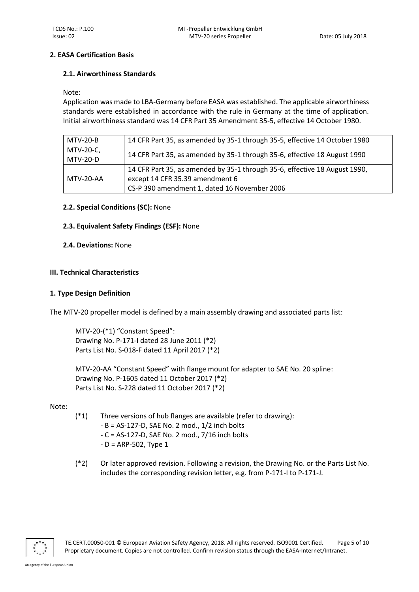#### **2. EASA Certification Basis**

#### <span id="page-4-0"></span>**2.1. Airworthiness Standards**

#### Note:

Application was made to LBA-Germany before EASA was established. The applicable airworthiness standards were established in accordance with the rule in Germany at the time of application. Initial airworthiness standard was 14 CFR Part 35 Amendment 35-5, effective 14 October 1980.

| $MTV-20-B$                   | 14 CFR Part 35, as amended by 35-1 through 35-5, effective 14 October 1980                                                                                    |
|------------------------------|---------------------------------------------------------------------------------------------------------------------------------------------------------------|
| MTV-20-C,<br><b>MTV-20-D</b> | 14 CFR Part 35, as amended by 35-1 through 35-6, effective 18 August 1990                                                                                     |
| MTV-20-AA                    | 14 CFR Part 35, as amended by 35-1 through 35-6, effective 18 August 1990,<br>except 14 CFR 35.39 amendment 6<br>CS-P 390 amendment 1, dated 16 November 2006 |

#### <span id="page-4-1"></span>**2.2. Special Conditions (SC):** None

#### <span id="page-4-2"></span>**2.3. Equivalent Safety Findings (ESF):** None

<span id="page-4-3"></span>**2.4. Deviations:** None

#### <span id="page-4-4"></span>**III. Technical Characteristics**

#### <span id="page-4-5"></span>**1. Type Design Definition**

The MTV-20 propeller model is defined by a main assembly drawing and associated parts list:

MTV-20-(\*1) "Constant Speed": Drawing No. P-171-I dated 28 June 2011 (\*2) Parts List No. S-018-F dated 11 April 2017 (\*2)

MTV-20-AA "Constant Speed" with flange mount for adapter to SAE No. 20 spline: Drawing No. P-1605 dated 11 October 2017 (\*2) Parts List No. S-228 dated 11 October 2017 (\*2)

#### Note:

- (\*1) Three versions of hub flanges are available (refer to drawing):
	- B = AS-127-D, SAE No. 2 mod., 1/2 inch bolts
	- C = AS-127-D, SAE No. 2 mod., 7/16 inch bolts
	- $-D = ARP-502$ , Type 1
- (\*2) Or later approved revision. Following a revision, the Drawing No. or the Parts List No. includes the corresponding revision letter, e.g. from P-171-I to P-171-J.

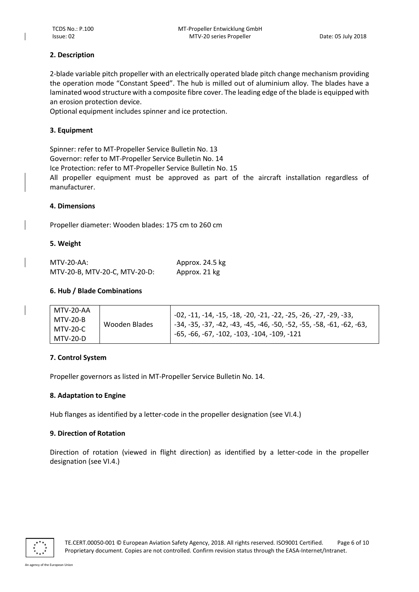# <span id="page-5-0"></span>**2. Description**

2-blade variable pitch propeller with an electrically operated blade pitch change mechanism providing the operation mode "Constant Speed". The hub is milled out of aluminium alloy. The blades have a laminated wood structure with a composite fibre cover. The leading edge of the blade is equipped with an erosion protection device.

Optional equipment includes spinner and ice protection.

#### <span id="page-5-1"></span>**3. Equipment**

Spinner: refer to MT-Propeller Service Bulletin No. 13

Governor: refer to MT-Propeller Service Bulletin No. 14

Ice Protection: refer to MT-Propeller Service Bulletin No. 15

All propeller equipment must be approved as part of the aircraft installation regardless of manufacturer.

#### <span id="page-5-2"></span>**4. Dimensions**

Propeller diameter: Wooden blades: 175 cm to 260 cm

#### <span id="page-5-3"></span>**5. Weight**

| MTV-20-AA:                    | Approx. 24.5 kg |
|-------------------------------|-----------------|
| MTV-20-B, MTV-20-C, MTV-20-D: | Approx. 21 kg   |

#### <span id="page-5-4"></span>**6. Hub / Blade Combinations**

| MTV-20-AA  |               |                                                                       |
|------------|---------------|-----------------------------------------------------------------------|
| l MTV-20-B |               | -02, -11, -14, -15, -18, -20, -21, -22, -25, -26, -27, -29, -33,      |
| $MTV-20-C$ | Wooden Blades | -34, -35, -37, -42, -43, -45, -46, -50, -52, -55, -58, -61, -62, -63, |
| MTV-20-D   |               | -65, -66, -67, -102, -103, -104, -109, -121                           |

#### <span id="page-5-5"></span>**7. Control System**

Propeller governors as listed in MT-Propeller Service Bulletin No. 14.

#### <span id="page-5-6"></span>**8. Adaptation to Engine**

Hub flanges as identified by a letter-code in the propeller designation (see VI.4.)

#### <span id="page-5-7"></span>**9. Direction of Rotation**

Direction of rotation (viewed in flight direction) as identified by a letter-code in the propeller designation (see VI.4.)

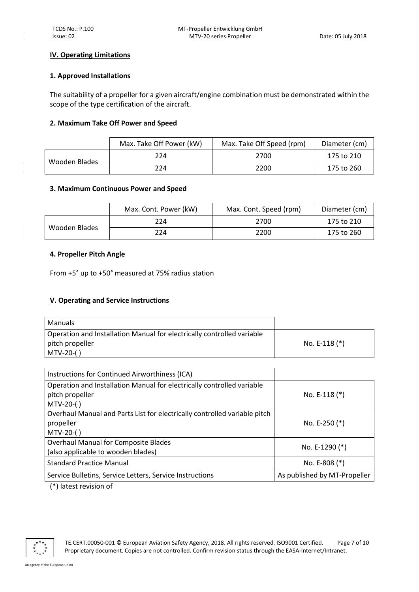#### <span id="page-6-0"></span>**IV. Operating Limitations**

### <span id="page-6-1"></span>**1. Approved Installations**

The suitability of a propeller for a given aircraft/engine combination must be demonstrated within the scope of the type certification of the aircraft.

### <span id="page-6-2"></span>**2. Maximum Take Off Power and Speed**

|               | Max. Take Off Power (kW) | Max. Take Off Speed (rpm) | Diameter (cm) |
|---------------|--------------------------|---------------------------|---------------|
|               | 224                      | 2700                      | 175 to 210    |
| Wooden Blades | 224                      | 2200                      | 175 to 260    |

#### <span id="page-6-3"></span>**3. Maximum Continuous Power and Speed**

|               | Max. Cont. Power (kW) | Max. Cont. Speed (rpm) | Diameter (cm) |
|---------------|-----------------------|------------------------|---------------|
| Wooden Blades | 224                   | 2700                   | 175 to 210    |
|               | 224                   | 2200                   | 175 to 260    |

#### <span id="page-6-4"></span>**4. Propeller Pitch Angle**

From +5° up to +50° measured at 75% radius station

# <span id="page-6-5"></span>**V. Operating and Service Instructions**

| l Manuals                                                              |                   |
|------------------------------------------------------------------------|-------------------|
| Operation and Installation Manual for electrically controlled variable |                   |
| pitch propeller                                                        | No. $E-118$ $(*)$ |
| $MTV-20-()$                                                            |                   |

| Instructions for Continued Airworthiness (ICA)                            |                              |
|---------------------------------------------------------------------------|------------------------------|
| Operation and Installation Manual for electrically controlled variable    |                              |
| pitch propeller                                                           | No. E-118 $(*)$              |
| $MTV-20-()$                                                               |                              |
| Overhaul Manual and Parts List for electrically controlled variable pitch |                              |
| propeller                                                                 | No. E-250 $(*)$              |
| $MTV-20-( )$                                                              |                              |
| <b>Overhaul Manual for Composite Blades</b>                               | No. E-1290 (*)               |
| (also applicable to wooden blades)                                        |                              |
| <b>Standard Practice Manual</b>                                           | No. E-808 (*)                |
| Service Bulletins, Service Letters, Service Instructions                  | As published by MT-Propeller |
|                                                                           |                              |

(\*) latest revision of

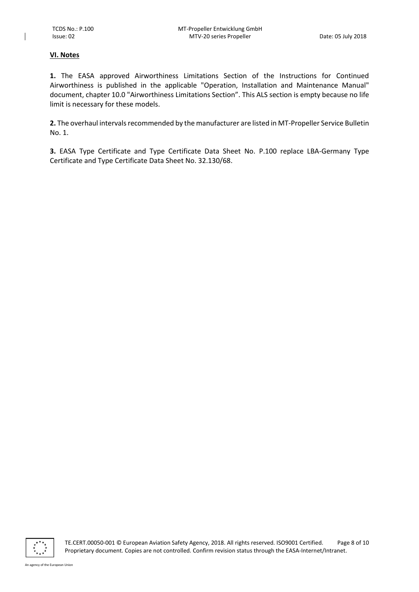#### <span id="page-7-0"></span>**VI. Notes**

**1.** The EASA approved Airworthiness Limitations Section of the Instructions for Continued Airworthiness is published in the applicable "Operation, Installation and Maintenance Manual" document, chapter 10.0 "Airworthiness Limitations Section". This ALS section is empty because no life limit is necessary for these models.

**2.** The overhaul intervals recommended by the manufacturer are listed in MT-Propeller Service Bulletin No. 1.

**3.** EASA Type Certificate and Type Certificate Data Sheet No. P.100 replace LBA-Germany Type Certificate and Type Certificate Data Sheet No. 32.130/68.



TE.CERT.00050-001 © European Aviation Safety Agency, 2018. All rights reserved. ISO9001 Certified. Page 8 of 10 Proprietary document. Copies are not controlled. Confirm revision status through the EASA-Internet/Intranet.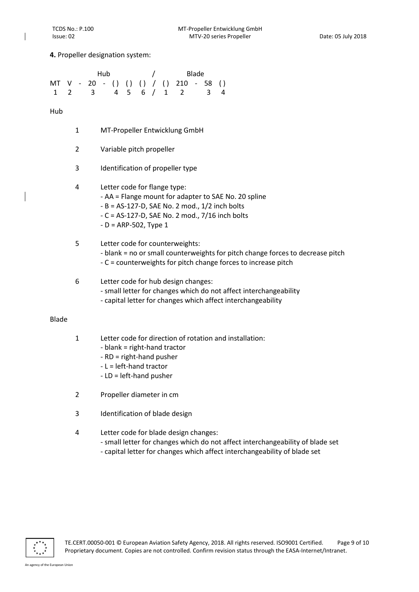**4.** Propeller designation system:

| Hub / Blade |  |  |  |  |  |  |                                       |  |  |
|-------------|--|--|--|--|--|--|---------------------------------------|--|--|
|             |  |  |  |  |  |  | MT V - 20 - () () () / () 210 - 58 () |  |  |
|             |  |  |  |  |  |  | 1 2 3 4 5 6 / 1 2 3 4                 |  |  |

Hub

- 1 MT-Propeller Entwicklung GmbH
- 2 Variable pitch propeller
- 3 Identification of propeller type
- 4 Letter code for flange type: - AA = Flange mount for adapter to SAE No. 20 spline - B = AS-127-D, SAE No. 2 mod., 1/2 inch bolts - C = AS-127-D, SAE No. 2 mod., 7/16 inch bolts  $-D = ARP-502$ , Type 1

# 5 Letter code for counterweights: - blank = no or small counterweights for pitch change forces to decrease pitch - C = counterweights for pitch change forces to increase pitch

### 6 Letter code for hub design changes: - small letter for changes which do not affect interchangeability - capital letter for changes which affect interchangeability

#### Blade

- 1 Letter code for direction of rotation and installation:
	- blank = right-hand tractor
		- RD = right-hand pusher
	- L = left-hand tractor
	- LD = left-hand pusher
- 2 Propeller diameter in cm
- 3 Identification of blade design
- 4 Letter code for blade design changes:
	- small letter for changes which do not affect interchangeability of blade set
	- capital letter for changes which affect interchangeability of blade set